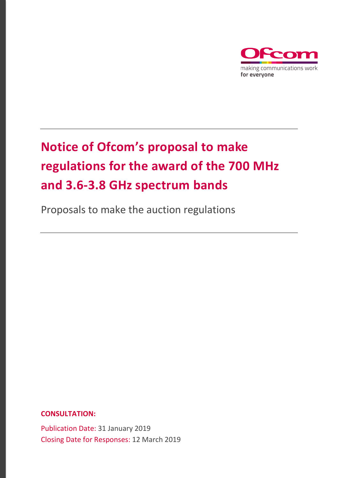

# **Notice of Ofcom's proposal to make regulations for the award of the 700 MHz and 3.6-3.8 GHz spectrum bands**

Proposals to make the auction regulations

**CONSULTATION:**

Publication Date: 31 January 2019 Closing Date for Responses: 12 March 2019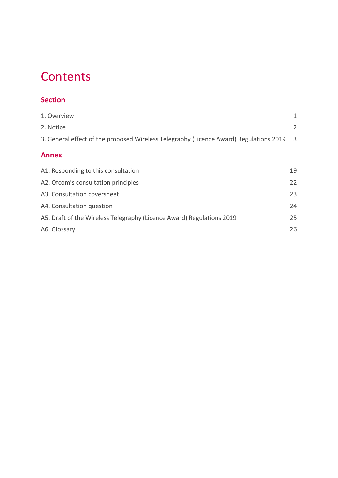## **Contents**

## **Section**

| 1. Overview                                                                            | 1              |
|----------------------------------------------------------------------------------------|----------------|
| 2. Notice                                                                              | $\overline{2}$ |
| 3. General effect of the proposed Wireless Telegraphy (Licence Award) Regulations 2019 | 3              |
| <b>Annex</b>                                                                           |                |
| A1. Responding to this consultation                                                    | 19             |
| A2. Ofcom's consultation principles                                                    | 22             |
| A3. Consultation coversheet                                                            | 23             |
| A4. Consultation question                                                              | 24             |
| A5. Draft of the Wireless Telegraphy (Licence Award) Regulations 2019                  | 25             |
| A6. Glossary                                                                           | 26             |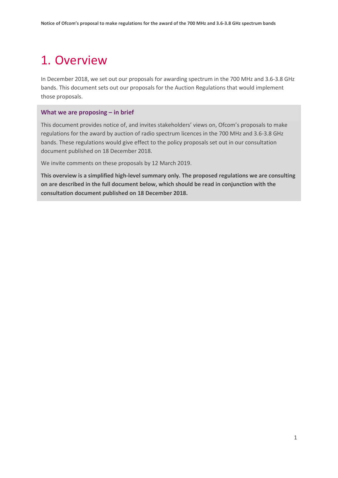## <span id="page-2-0"></span>1. Overview

In December 2018, we set out our proposals for awarding spectrum in the 700 MHz and 3.6-3.8 GHz bands. This document sets out our proposals for the Auction Regulations that would implement those proposals.

#### **What we are proposing – in brief**

This document provides notice of, and invites stakeholders' views on, Ofcom's proposals to make regulations for the award by auction of radio spectrum licences in the 700 MHz and 3.6-3.8 GHz bands. These regulations would give effect to the policy proposals set out in our consultation document published on 18 December 2018.

We invite comments on these proposals by 12 March 2019.

**This overview is a simplified high-level summary only. The proposed regulations we are consulting on are described in the full document below, which should be read in conjunction with the consultation document published on 18 December 2018.**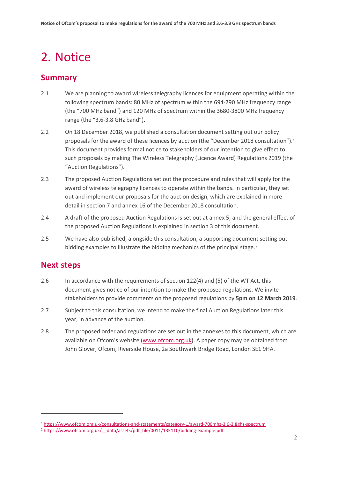## <span id="page-3-0"></span>2. Notice

## **Summary**

- 2.1 We are planning to award wireless telegraphy licences for equipment operating within the following spectrum bands: 80 MHz of spectrum within the 694-790 MHz frequency range (the "700 MHz band") and 120 MHz of spectrum within the 3680-3800 MHz frequency range (the "3.6-3.8 GHz band").
- 2.2 On 18 December 2018, we published a consultation document setting out our policy proposals for the award of these licences by auction (the "December 20[1](#page-3-1)8 consultation").<sup>1</sup> This document provides formal notice to stakeholders of our intention to give effect to such proposals by making The Wireless Telegraphy (Licence Award) Regulations 2019 (the "Auction Regulations").
- 2.3 The proposed Auction Regulations set out the procedure and rules that will apply for the award of wireless telegraphy licences to operate within the bands. In particular, they set out and implement our proposals for the auction design, which are explained in more detail in section 7 and annex 16 of the December 2018 consultation.
- 2.4 A draft of the proposed Auction Regulations is set out at annex 5, and the general effect of the proposed Auction Regulations is explained in section 3 of this document.
- 2.5 We have also published, alongside this consultation, a supporting document setting out bidding examples to illustrate the bidding mechanics of the principal stage.<sup>[2](#page-3-2)</sup>

### **Next steps**

- 2.6 In accordance with the requirements of section 122(4) and (5) of the WT Act, this document gives notice of our intention to make the proposed regulations. We invite stakeholders to provide comments on the proposed regulations by **5pm on 12 March 2019**.
- 2.7 Subject to this consultation, we intend to make the final Auction Regulations later this year, in advance of the auction.
- 2.8 The proposed order and regulations are set out in the annexes to this document, which are available on Ofcom's website [\(www.ofcom.org.uk\)](http://www.ofcom.org.uk/). A paper copy may be obtained from John Glover, Ofcom, Riverside House, 2a Southwark Bridge Road, London SE1 9HA.

<span id="page-3-1"></span><sup>1</sup> <https://www.ofcom.org.uk/consultations-and-statements/category-1/award-700mhz-3.6-3.8ghz-spectrum>

<span id="page-3-2"></span><sup>&</sup>lt;sup>2</sup> https://www.ofcom.org.uk/ data/assets/pdf\_file/0011/135110/bidding-example.pdf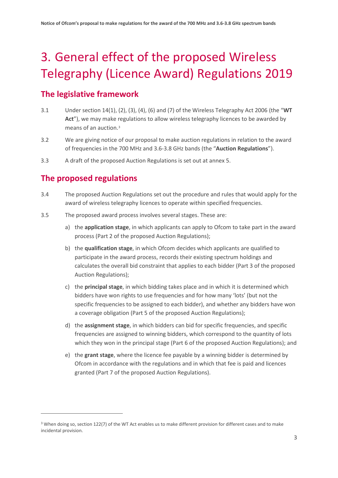# <span id="page-4-0"></span>3. General effect of the proposed Wireless Telegraphy (Licence Award) Regulations 2019

## **The legislative framework**

- 3.1 Under section 14(1), (2), (3), (4), (6) and (7) of the Wireless Telegraphy Act 2006 (the "**WT Act**"), we may make regulations to allow wireless telegraphy licences to be awarded by means of an auction.[3](#page-4-1)
- 3.2 We are giving notice of our proposal to make auction regulations in relation to the award of frequencies in the 700 MHz and 3.6-3.8 GHz bands (the "**Auction Regulations**").
- 3.3 A draft of the proposed Auction Regulations is set out at annex 5.

## **The proposed regulations**

- 3.4 The proposed Auction Regulations set out the procedure and rules that would apply for the award of wireless telegraphy licences to operate within specified frequencies.
- 3.5 The proposed award process involves several stages. These are:
	- a) the **application stage**, in which applicants can apply to Ofcom to take part in the award process (Part 2 of the proposed Auction Regulations);
	- b) the **qualification stage**, in which Ofcom decides which applicants are qualified to participate in the award process, records their existing spectrum holdings and calculates the overall bid constraint that applies to each bidder (Part 3 of the proposed Auction Regulations);
	- c) the **principal stage**, in which bidding takes place and in which it is determined which bidders have won rights to use frequencies and for how many 'lots' (but not the specific frequencies to be assigned to each bidder), and whether any bidders have won a coverage obligation (Part 5 of the proposed Auction Regulations);
	- d) the **assignment stage**, in which bidders can bid for specific frequencies, and specific frequencies are assigned to winning bidders, which correspond to the quantity of lots which they won in the principal stage (Part 6 of the proposed Auction Regulations); and
	- e) the **grant stage**, where the licence fee payable by a winning bidder is determined by Ofcom in accordance with the regulations and in which that fee is paid and licences granted (Part 7 of the proposed Auction Regulations).

<span id="page-4-1"></span><sup>&</sup>lt;sup>3</sup> When doing so, section 122(7) of the WT Act enables us to make different provision for different cases and to make incidental provision.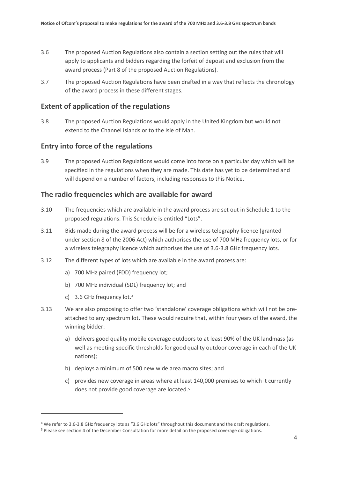- 3.6 The proposed Auction Regulations also contain a section setting out the rules that will apply to applicants and bidders regarding the forfeit of deposit and exclusion from the award process (Part 8 of the proposed Auction Regulations).
- 3.7 The proposed Auction Regulations have been drafted in a way that reflects the chronology of the award process in these different stages.

#### **Extent of application of the regulations**

3.8 The proposed Auction Regulations would apply in the United Kingdom but would not extend to the Channel Islands or to the Isle of Man.

#### **Entry into force of the regulations**

3.9 The proposed Auction Regulations would come into force on a particular day which will be specified in the regulations when they are made. This date has yet to be determined and will depend on a number of factors, including responses to this Notice.

#### **The radio frequencies which are available for award**

- 3.10 The frequencies which are available in the award process are set out in Schedule 1 to the proposed regulations. This Schedule is entitled "Lots".
- 3.11 Bids made during the award process will be for a wireless telegraphy licence (granted under section 8 of the 2006 Act) which authorises the use of 700 MHz frequency lots, or for a wireless telegraphy licence which authorises the use of 3.6-3.8 GHz frequency lots.
- 3.12 The different types of lots which are available in the award process are:
	- a) 700 MHz paired (FDD) frequency lot;
	- b) 700 MHz individual (SDL) frequency lot; and
	- c) 3.6 GHz frequency lot.[4](#page-5-0)

- 3.13 We are also proposing to offer two 'standalone' coverage obligations which will not be preattached to any spectrum lot. These would require that, within four years of the award, the winning bidder:
	- a) delivers good quality mobile coverage outdoors to at least 90% of the UK landmass (as well as meeting specific thresholds for good quality outdoor coverage in each of the UK nations);
	- b) deploys a minimum of 500 new wide area macro sites; and
	- c) provides new coverage in areas where at least 140,000 premises to which it currently does not provide good coverage are located[.5](#page-5-1)

<span id="page-5-0"></span><sup>4</sup> We refer to 3.6-3.8 GHz frequency lots as "3.6 GHz lots" throughout this document and the draft regulations.

<span id="page-5-1"></span><sup>5</sup> Please see section 4 of the December Consultation for more detail on the proposed coverage obligations.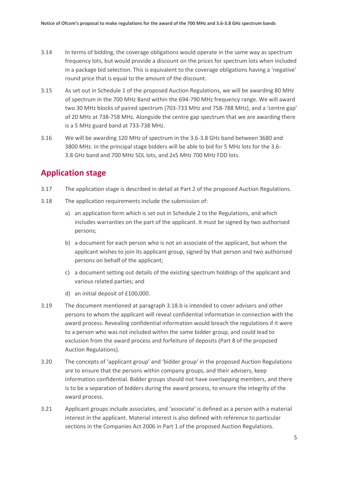- 3.14 In terms of bidding, the coverage obligations would operate in the same way as spectrum frequency lots, but would provide a discount on the prices for spectrum lots when included in a package bid selection. This is equivalent to the coverage obligations having a 'negative' round price that is equal to the amount of the discount.
- 3.15 As set out in Schedule 1 of the proposed Auction Regulations, we will be awarding 80 MHz of spectrum in the 700 MHz Band within the 694-790 MHz frequency range. We will award two 30 MHz blocks of paired spectrum (703-733 MHz and 758-788 MHz), and a 'centre gap' of 20 MHz at 738-758 MHz. Alongside the centre gap spectrum that we are awarding there is a 5 MHz guard band at 733-738 MHz.
- 3.16 We will be awarding 120 MHz of spectrum in the 3.6-3.8 GHz band between 3680 and 3800 MHz. In the principal stage bidders will be able to bid for 5 MHz lots for the 3.6- 3.8 GHz band and 700 MHz SDL lots, and 2x5 MHz 700 MHz FDD lots.

## **Application stage**

- 3.17 The application stage is described in detail at Part 2 of the proposed Auction Regulations.
- 3.18 The application requirements include the submission of:
	- a) an application form which is set out in Schedule 2 to the Regulations, and which includes warranties on the part of the applicant. It must be signed by two authorised persons;
	- b) a document for each person who is not an associate of the applicant, but whom the applicant wishes to join its applicant group, signed by that person and two authorised persons on behalf of the applicant;
	- c) a document setting out details of the existing spectrum holdings of the applicant and various related parties; and
	- d) an initial deposit of £100,000.
- 3.19 The document mentioned at paragraph 3.18.b is intended to cover advisers and other persons to whom the applicant will reveal confidential information in connection with the award process. Revealing confidential information would breach the regulations if it were to a person who was not included within the same bidder group, and could lead to exclusion from the award process and forfeiture of deposits (Part 8 of the proposed Auction Regulations).
- 3.20 The concepts of 'applicant group' and 'bidder group' in the proposed Auction Regulations are to ensure that the persons within company groups, and their advisers, keep information confidential. Bidder groups should not have overlapping members, and there is to be a separation of bidders during the award process, to ensure the integrity of the award process.
- 3.21 Applicant groups include associates, and 'associate' is defined as a person with a material interest in the applicant. Material interest is also defined with reference to particular sections in the Companies Act 2006 in Part 1 of the proposed Auction Regulations.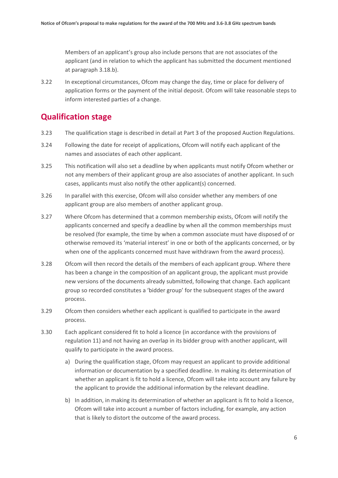Members of an applicant's group also include persons that are not associates of the applicant (and in relation to which the applicant has submitted the document mentioned at paragraph 3.18.b).

3.22 In exceptional circumstances, Ofcom may change the day, time or place for delivery of application forms or the payment of the initial deposit. Ofcom will take reasonable steps to inform interested parties of a change.

## **Qualification stage**

- 3.23 The qualification stage is described in detail at Part 3 of the proposed Auction Regulations.
- 3.24 Following the date for receipt of applications, Ofcom will notify each applicant of the names and associates of each other applicant.
- 3.25 This notification will also set a deadline by when applicants must notify Ofcom whether or not any members of their applicant group are also associates of another applicant. In such cases, applicants must also notify the other applicant(s) concerned.
- 3.26 In parallel with this exercise, Ofcom will also consider whether any members of one applicant group are also members of another applicant group.
- 3.27 Where Ofcom has determined that a common membership exists, Ofcom will notify the applicants concerned and specify a deadline by when all the common memberships must be resolved (for example, the time by when a common associate must have disposed of or otherwise removed its 'material interest' in one or both of the applicants concerned, or by when one of the applicants concerned must have withdrawn from the award process).
- 3.28 Ofcom will then record the details of the members of each applicant group. Where there has been a change in the composition of an applicant group, the applicant must provide new versions of the documents already submitted, following that change. Each applicant group so recorded constitutes a 'bidder group' for the subsequent stages of the award process.
- 3.29 Ofcom then considers whether each applicant is qualified to participate in the award process.
- 3.30 Each applicant considered fit to hold a licence (in accordance with the provisions of regulation 11) and not having an overlap in its bidder group with another applicant, will qualify to participate in the award process.
	- a) During the qualification stage, Ofcom may request an applicant to provide additional information or documentation by a specified deadline. In making its determination of whether an applicant is fit to hold a licence, Ofcom will take into account any failure by the applicant to provide the additional information by the relevant deadline.
	- b) In addition, in making its determination of whether an applicant is fit to hold a licence, Ofcom will take into account a number of factors including, for example, any action that is likely to distort the outcome of the award process.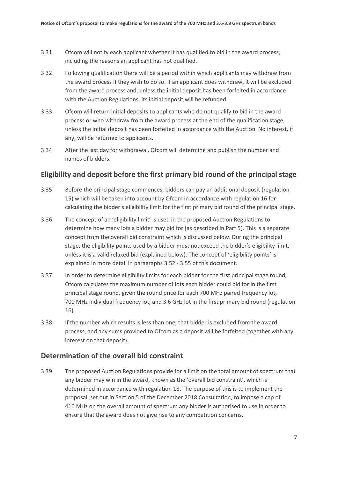- 3.31 Ofcom will notify each applicant whether it has qualified to bid in the award process, including the reasons an applicant has not qualified.
- 3.32 Following qualification there will be a period within which applicants may withdraw from the award process if they wish to do so. If an applicant does withdraw, it will be excluded from the award process and, unless the initial deposit has been forfeited in accordance with the Auction Regulations, its initial deposit will be refunded.
- 3.33 Ofcom will return initial deposits to applicants who do not qualify to bid in the award process or who withdraw from the award process at the end of the qualification stage, unless the initial deposit has been forfeited in accordance with the Auction. No interest, if any, will be returned to applicants.
- 3.34 After the last day for withdrawal, Ofcom will determine and publish the number and names of bidders.

### **Eligibility and deposit before the first primary bid round of the principal stage**

- 3.35 Before the principal stage commences, bidders can pay an additional deposit (regulation 15) which will be taken into account by Ofcom in accordance with regulation 16 for calculating the bidder's eligibility limit for the first primary bid round of the principal stage.
- 3.36 The concept of an 'eligibility limit' is used in the proposed Auction Regulations to determine how many lots a bidder may bid for (as described in Part 5). This is a separate concept from the overall bid constraint which is discussed below. During the principal stage, the eligibility points used by a bidder must not exceed the bidder's eligibility limit, unless it is a valid relaxed bid (explained below). The concept of 'eligibility points' is explained in more detail in paragraphs [3.52](#page-10-0) - [3.55](#page-11-0) of this document.
- 3.37 In order to determine eligibility limits for each bidder for the first principal stage round, Ofcom calculates the maximum number of lots each bidder could bid for in the first principal stage round, given the round price for each 700 MHz paired frequency lot, 700 MHz individual frequency lot, and 3.6 GHz lot in the first primary bid round (regulation 16).
- 3.38 If the number which results is less than one, that bidder is excluded from the award process, and any sums provided to Ofcom as a deposit will be forfeited (together with any interest on that deposit).

### **Determination of the overall bid constraint**

3.39 The proposed Auction Regulations provide for a limit on the total amount of spectrum that any bidder may win in the award, known as the 'overall bid constraint', which is determined in accordance with regulation 18. The purpose of this is to implement the proposal, set out in Section 5 of the December 2018 Consultation, to impose a cap of 416 MHz on the overall amount of spectrum any bidder is authorised to use in order to ensure that the award does not give rise to any competition concerns.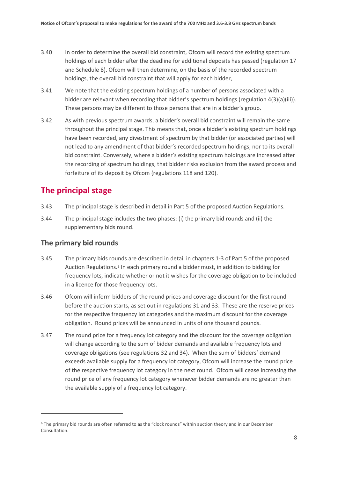- 3.40 In order to determine the overall bid constraint, Ofcom will record the existing spectrum holdings of each bidder after the deadline for additional deposits has passed (regulation 17 and Schedule 8). Ofcom will then determine, on the basis of the recorded spectrum holdings, the overall bid constraint that will apply for each bidder,
- 3.41 We note that the existing spectrum holdings of a number of persons associated with a bidder are relevant when recording that bidder's spectrum holdings (regulation 4(3)(a)(iii)). These persons may be different to those persons that are in a bidder's group.
- 3.42 As with previous spectrum awards, a bidder's overall bid constraint will remain the same throughout the principal stage. This means that, once a bidder's existing spectrum holdings have been recorded, any divestment of spectrum by that bidder (or associated parties) will not lead to any amendment of that bidder's recorded spectrum holdings, nor to its overall bid constraint. Conversely, where a bidder's existing spectrum holdings are increased after the recording of spectrum holdings, that bidder risks exclusion from the award process and forfeiture of its deposit by Ofcom (regulations 118 and 120).

## **The principal stage**

- 3.43 The principal stage is described in detail in Part 5 of the proposed Auction Regulations.
- 3.44 The principal stage includes the two phases: (i) the primary bid rounds and (ii) the supplementary bids round.

### **The primary bid rounds**

- 3.45 The primary bids rounds are described in detail in chapters 1-3 of Part 5 of the proposed Auction Regulations.[6](#page-9-0) In each primary round a bidder must, in addition to bidding for frequency lots, indicate whether or not it wishes for the coverage obligation to be included in a licence for those frequency lots.
- 3.46 Ofcom will inform bidders of the round prices and coverage discount for the first round before the auction starts, as set out in regulations 31 and 33. These are the reserve prices for the respective frequency lot categories and the maximum discount for the coverage obligation. Round prices will be announced in units of one thousand pounds.
- 3.47 The round price for a frequency lot category and the discount for the coverage obligation will change according to the sum of bidder demands and available frequency lots and coverage obligations (see regulations 32 and 34). When the sum of bidders' demand exceeds available supply for a frequency lot category, Ofcom will increase the round price of the respective frequency lot category in the next round. Ofcom will cease increasing the round price of any frequency lot category whenever bidder demands are no greater than the available supply of a frequency lot category.

<span id="page-9-0"></span><sup>6</sup> The primary bid rounds are often referred to as the "clock rounds" within auction theory and in our December Consultation.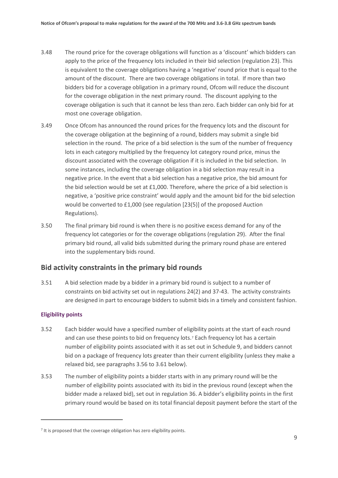- 3.48 The round price for the coverage obligations will function as a 'discount' which bidders can apply to the price of the frequency lots included in their bid selection (regulation 23). This is equivalent to the coverage obligations having a 'negative' round price that is equal to the amount of the discount. There are two coverage obligations in total. If more than two bidders bid for a coverage obligation in a primary round, Ofcom will reduce the discount for the coverage obligation in the next primary round. The discount applying to the coverage obligation is such that it cannot be less than zero. Each bidder can only bid for at most one coverage obligation.
- 3.49 Once Ofcom has announced the round prices for the frequency lots and the discount for the coverage obligation at the beginning of a round, bidders may submit a single bid selection in the round. The price of a bid selection is the sum of the number of frequency lots in each category multiplied by the frequency lot category round price, minus the discount associated with the coverage obligation if it is included in the bid selection. In some instances, including the coverage obligation in a bid selection may result in a negative price. In the event that a bid selection has a negative price, the bid amount for the bid selection would be set at £1,000. Therefore, where the price of a bid selection is negative, a 'positive price constraint' would apply and the amount bid for the bid selection would be converted to £1,000 (see regulation [23(5)] of the proposed Auction Regulations).
- 3.50 The final primary bid round is when there is no positive excess demand for any of the frequency lot categories or for the coverage obligations (regulation 29). After the final primary bid round, all valid bids submitted during the primary round phase are entered into the supplementary bids round.

#### **Bid activity constraints in the primary bid rounds**

3.51 A bid selection made by a bidder in a primary bid round is subject to a number of constraints on bid activity set out in regulations 24(2) and 37-43. The activity constraints are designed in part to encourage bidders to submit bids in a timely and consistent fashion.

#### **Eligibility points**

- <span id="page-10-0"></span>3.52 Each bidder would have a specified number of eligibility points at the start of each round and can use these points to bid on frequency lots.<sup>[7](#page-10-1)</sup> Each frequency lot has a certain number of eligibility points associated with it as set out in Schedule 9, and bidders cannot bid on a package of frequency lots greater than their current eligibility (unless they make a relaxed bid, see paragraphs 3.56 to 3.61 below).
- 3.53 The number of eligibility points a bidder starts with in any primary round will be the number of eligibility points associated with its bid in the previous round (except when the bidder made a relaxed bid), set out in regulation 36. A bidder's eligibility points in the first primary round would be based on its total financial deposit payment before the start of the

<span id="page-10-1"></span> $<sup>7</sup>$  It is proposed that the coverage obligation has zero eligibility points.</sup>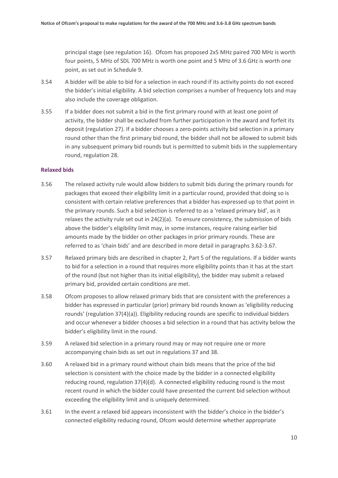principal stage (see regulation 16). Ofcom has proposed 2x5 MHz paired 700 MHz is worth four points, 5 MHz of SDL 700 MHz is worth one point and 5 MHz of 3.6 GHz is worth one point, as set out in Schedule 9.

- <span id="page-11-0"></span>3.54 A bidder will be able to bid for a selection in each round if its activity points do not exceed the bidder's initial eligibility. A bid selection comprises a number of frequency lots and may also include the coverage obligation.
- 3.55 If a bidder does not submit a bid in the first primary round with at least one point of activity, the bidder shall be excluded from further participation in the award and forfeit its deposit (regulation 27). If a bidder chooses a zero-points activity bid selection in a primary round other than the first primary bid round, the bidder shall not be allowed to submit bids in any subsequent primary bid rounds but is permitted to submit bids in the supplementary round, regulation 28.

#### **Relaxed bids**

- 3.56 The relaxed activity rule would allow bidders to submit bids during the primary rounds for packages that exceed their eligibility limit in a particular round, provided that doing so is consistent with certain relative preferences that a bidder has expressed up to that point in the primary rounds. Such a bid selection is referred to as a 'relaxed primary bid', as it relaxes the activity rule set out in 24(2)(a). To ensure consistency, the submission of bids above the bidder's eligibility limit may, in some instances, require raising earlier bid amounts made by the bidder on other packages in prior primary rounds. These are referred to as 'chain bids' and are described in more detail in paragraphs [3.62-](#page-12-0)3.67.
- 3.57 Relaxed primary bids are described in chapter 2, Part 5 of the regulations. If a bidder wants to bid for a selection in a round that requires more eligibility points than it has at the start of the round (but not higher than its initial eligibility), the bidder may submit a relaxed primary bid, provided certain conditions are met.
- 3.58 Ofcom proposes to allow relaxed primary bids that are consistent with the preferences a bidder has expressed in particular (prior) primary bid rounds known as 'eligibility reducing rounds' (regulation 37(4)(a)). Eligibility reducing rounds are specific to individual bidders and occur whenever a bidder chooses a bid selection in a round that has activity below the bidder's eligibility limit in the round.
- 3.59 A relaxed bid selection in a primary round may or may not require one or more accompanying chain bids as set out in regulations 37 and 38.
- 3.60 A relaxed bid in a primary round without chain bids means that the price of the bid selection is consistent with the choice made by the bidder in a connected eligibility reducing round, regulation 37(4)(d). A connected eligibility reducing round is the most recent round in which the bidder could have presented the current bid selection without exceeding the eligibility limit and is uniquely determined.
- 3.61 In the event a relaxed bid appears inconsistent with the bidder's choice in the bidder's connected eligibility reducing round, Ofcom would determine whether appropriate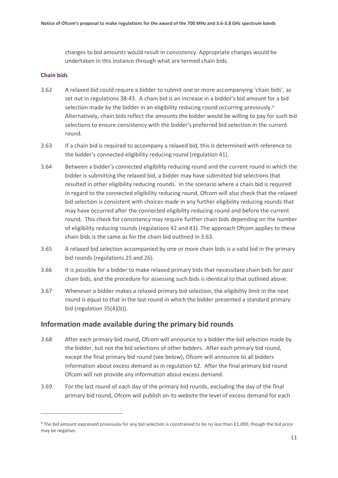changes to bid amounts would result in consistency. Appropriate changes would be undertaken in this instance through what are termed chain bids.

#### **Chain bids**

 $\overline{a}$ 

- <span id="page-12-0"></span>3.62 A relaxed bid could require a bidder to submit one or more accompanying 'chain bids', as set out in regulations 38-43. A chain bid is an increase in a bidder's bid amount for a bid selection made by the bidder in an eligibility reducing round occurring previously.<sup>[8](#page-12-1)</sup> Alternatively, chain bids reflect the amounts the bidder would be willing to pay for such bid selections to ensure consistency with the bidder's preferred bid selection in the current round.
- 3.63 If a chain bid is required to accompany a relaxed bid, this is determined with reference to the bidder's connected eligibility reducing round (regulation 41).
- 3.64 Between a bidder's connected eligibility reducing round and the current round in which the bidder is submitting the relaxed bid, a bidder may have submitted bid selections that resulted in other eligibility reducing rounds. In the scenario where a chain bid is required in regard to the connected eligibility reducing round, Ofcom will also check that the relaxed bid selection is consistent with choices made in any further eligibility reducing rounds that may have occurred after the connected eligibility reducing round and before the current round. This check for consistency may require further chain bids depending on the number of eligibility reducing rounds (regulations 42 and 43). The approach Ofcom applies to these chain bids is the same as for the chain bid outlined in 3.63.
- 3.65 A relaxed bid selection accompanied by one or more chain bids is a valid bid in the primary bid rounds (regulations 25 and 26).
- 3.66 It is possible for a bidder to make relaxed primary bids that necessitate chain bids for *past* chain bids, and the procedure for assessing such bids is identical to that outlined above.
- 3.67 Whenever a bidder makes a relaxed primary bid selection, the eligibility limit in the next round is equal to that in the last round in which the bidder presented a standard primary bid (regulation 35(4)(b)).

#### **Information made available during the primary bid rounds**

- 3.68 After each primary bid round, Ofcom will announce to a bidder the bid selection made by the bidder, but not the bid selections of other bidders. After each primary bid round, except the final primary bid round (see below), Ofcom will announce to all bidders information about excess demand as in regulation 62. After the final primary bid round Ofcom will not provide any information about excess demand.
- 3.69 For the last round of each day of the primary bid rounds, excluding the day of the final primary bid round, Ofcom will publish on its website the level of excess demand for each

<span id="page-12-1"></span><sup>&</sup>lt;sup>8</sup> The bid amount expressed previously for any bid selection is constrained to be no less than £1,000, though the bid price may be negative.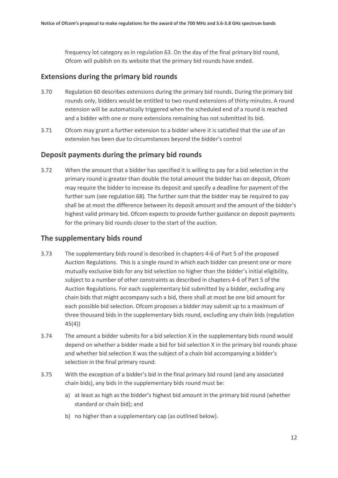frequency lot category as in regulation 63. On the day of the final primary bid round, Ofcom will publish on its website that the primary bid rounds have ended.

#### **Extensions during the primary bid rounds**

- 3.70 Regulation 60 describes extensions during the primary bid rounds. During the primary bid rounds only, bidders would be entitled to two round extensions of thirty minutes. A round extension will be automatically triggered when the scheduled end of a round is reached and a bidder with one or more extensions remaining has not submitted its bid.
- 3.71 Ofcom may grant a further extension to a bidder where it is satisfied that the use of an extension has been due to circumstances beyond the bidder's control

#### **Deposit payments during the primary bid rounds**

3.72 When the amount that a bidder has specified it is willing to pay for a bid selection in the primary round is greater than double the total amount the bidder has on deposit, Ofcom may require the bidder to increase its deposit and specify a deadline for payment of the further sum (see regulation 68). The further sum that the bidder may be required to pay shall be at most the difference between its deposit amount and the amount of the bidder's highest valid primary bid. Ofcom expects to provide further guidance on deposit payments for the primary bid rounds closer to the start of the auction.

### **The supplementary bids round**

- 3.73 The supplementary bids round is described in chapters 4-6 of Part 5 of the proposed Auction Regulations. This is a single round in which each bidder can present one or more mutually exclusive bids for any bid selection no higher than the bidder's initial eligibility, subject to a number of other constraints as described in chapters 4-6 of Part 5 of the Auction Regulations. For each supplementary bid submitted by a bidder, excluding any chain bids that might accompany such a bid, there shall at most be one bid amount for each possible bid selection. Ofcom proposes a bidder may submit up to a maximum of three thousand bids in the supplementary bids round, excluding any chain bids (regulation 45(4))
- 3.74 The amount a bidder submits for a bid selection X in the supplementary bids round would depend on whether a bidder made a bid for bid selection X in the primary bid rounds phase and whether bid selection X was the subject of a chain bid accompanying a bidder's selection in the final primary round.
- 3.75 With the exception of a bidder's bid in the final primary bid round (and any associated chain bids), any bids in the supplementary bids round must be:
	- a) at least as high as the bidder's highest bid amount in the primary bid round (whether standard or chain bid); and
	- b) no higher than a supplementary cap (as outlined below).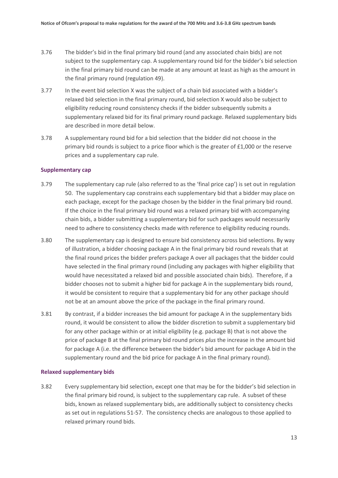- 3.76 The bidder's bid in the final primary bid round (and any associated chain bids) are not subject to the supplementary cap. A supplementary round bid for the bidder's bid selection in the final primary bid round can be made at any amount at least as high as the amount in the final primary round (regulation 49).
- 3.77 In the event bid selection X was the subject of a chain bid associated with a bidder's relaxed bid selection in the final primary round, bid selection X would also be subject to eligibility reducing round consistency checks if the bidder subsequently submits a supplementary relaxed bid for its final primary round package. Relaxed supplementary bids are described in more detail below.
- 3.78 A supplementary round bid for a bid selection that the bidder did not choose in the primary bid rounds is subject to a price floor which is the greater of £1,000 or the reserve prices and a supplementary cap rule.

#### **Supplementary cap**

- 3.79 The supplementary cap rule (also referred to as the 'final price cap') is set out in regulation 50. The supplementary cap constrains each supplementary bid that a bidder may place on each package, except for the package chosen by the bidder in the final primary bid round. If the choice in the final primary bid round was a relaxed primary bid with accompanying chain bids, a bidder submitting a supplementary bid for such packages would necessarily need to adhere to consistency checks made with reference to eligibility reducing rounds.
- 3.80 The supplementary cap is designed to ensure bid consistency across bid selections. By way of illustration, a bidder choosing package A in the final primary bid round reveals that at the final round prices the bidder prefers package A over all packages that the bidder could have selected in the final primary round (including any packages with higher eligibility that would have necessitated a relaxed bid and possible associated chain bids). Therefore, if a bidder chooses not to submit a higher bid for package A in the supplementary bids round, it would be consistent to require that a supplementary bid for any other package should not be at an amount above the price of the package in the final primary round.
- 3.81 By contrast, if a bidder increases the bid amount for package A in the supplementary bids round, it would be consistent to allow the bidder discretion to submit a supplementary bid for any other package within or at initial eligibility (e.g. package B) that is not above the price of package B at the final primary bid round prices *plus* the increase in the amount bid for package A (i.e. the difference between the bidder's bid amount for package A bid in the supplementary round and the bid price for package A in the final primary round).

#### **Relaxed supplementary bids**

3.82 Every supplementary bid selection, except one that may be for the bidder's bid selection in the final primary bid round, is subject to the supplementary cap rule. A subset of these bids, known as relaxed supplementary bids, are additionally subject to consistency checks as set out in regulations 51-57. The consistency checks are analogous to those applied to relaxed primary round bids.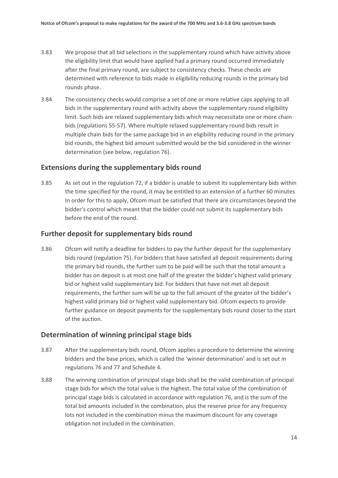- 3.83 We propose that all bid selections in the supplementary round which have activity above the eligibility limit that would have applied had a primary round occurred immediately after the final primary round, are subject to consistency checks. These checks are determined with reference to bids made in eligibility reducing rounds in the primary bid rounds phase.
- 3.84 The consistency checks would comprise a set of one or more relative caps applying to all bids in the supplementary round with activity above the supplementary round eligibility limit. Such bids are relaxed supplementary bids which may necessitate one or more chain bids (regulations 55-57). Where multiple relaxed supplementary round bids result in multiple chain bids for the same package bid in an eligibility reducing round in the primary bid rounds, the highest bid amount submitted would be the bid considered in the winner determination (see below, regulation 76).

#### **Extensions during the supplementary bids round**

3.85 As set out in the regulation 72, if a bidder is unable to submit its supplementary bids within the time specified for the round, it may be entitled to an extension of a further 60 minutes In order for this to apply, Ofcom must be satisfied that there are circumstances beyond the bidder's control which meant that the bidder could not submit its supplementary bids before the end of the round.

#### **Further deposit for supplementary bids round**

3.86 Ofcom will notify a deadline for bidders to pay the further deposit for the supplementary bids round (regulation 75). For bidders that have satisfied all deposit requirements during the primary bid rounds, the further sum to be paid will be such that the total amount a bidder has on deposit is at most one half of the greater the bidder's highest valid primary bid or highest valid supplementary bid. For bidders that have not met all deposit requirements, the further sum will be up to the full amount of the greater of the bidder's highest valid primary bid or highest valid supplementary bid. Ofcom expects to provide further guidance on deposit payments for the supplementary bids round closer to the start of the auction.

#### **Determination of winning principal stage bids**

- 3.87 After the supplementary bids round, Ofcom applies a procedure to determine the winning bidders and the base prices, which is called the 'winner determination' and is set out in regulations 76 and 77 and Schedule 4.
- 3.88 The winning combination of principal stage bids shall be the valid combination of principal stage bids for which the total value is the highest. The total value of the combination of principal stage bids is calculated in accordance with regulation 76, and is the sum of the total bid amounts included in the combination, plus the reserve price for any frequency lots not included in the combination minus the maximum discount for any coverage obligation not included in the combination.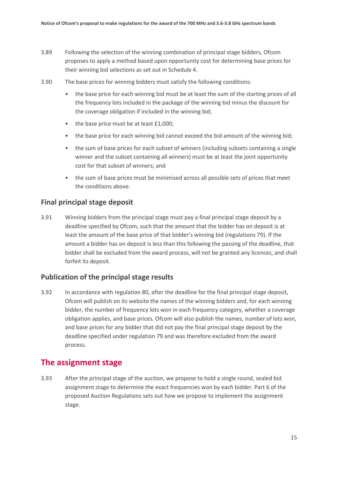- 3.89 Following the selection of the winning combination of principal stage bidders, Ofcom proposes to apply a method based upon opportunity cost for determining base prices for their winning bid selections as set out in Schedule 4.
- 3.90 The base prices for winning bidders must satisfy the following conditions:
	- the base price for each winning bid must be at least the sum of the starting prices of all the frequency lots included in the package of the winning bid minus the discount for the coverage obligation if included in the winning bid;
	- the base price must be at least £1,000;
	- the base price for each winning bid cannot exceed the bid amount of the winning bid;
	- the sum of base prices for each subset of winners (including subsets containing a single winner and the subset containing all winners) must be at least the joint opportunity cost for that subset of winners; and
	- the sum of base prices must be minimised across all possible sets of prices that meet the conditions above.

#### **Final principal stage deposit**

3.91 Winning bidders from the principal stage must pay a final principal stage deposit by a deadline specified by Ofcom, such that the amount that the bidder has on deposit is at least the amount of the base price of that bidder's winning bid (regulations 79). If the amount a bidder has on deposit is less than this following the passing of the deadline, that bidder shall be excluded from the award process, will not be granted any licences, and shall forfeit its deposit.

#### **Publication of the principal stage results**

3.92 In accordance with regulation 80, after the deadline for the final principal stage deposit, Ofcom will publish on its website the names of the winning bidders and, for each winning bidder, the number of frequency lots won in each frequency category, whether a coverage obligation applies, and base prices. Ofcom will also publish the names, number of lots won, and base prices for any bidder that did not pay the final principal stage deposit by the deadline specified under regulation 79 and was therefore excluded from the award process.

### **The assignment stage**

3.93 After the principal stage of the auction, we propose to hold a single round, sealed bid assignment stage to determine the exact frequencies won by each bidder. Part 6 of the proposed Auction Regulations sets out how we propose to implement the assignment stage.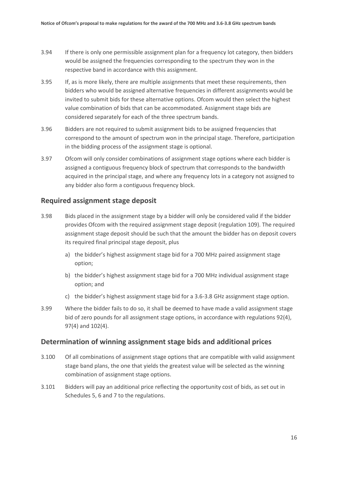- 3.94 If there is only one permissible assignment plan for a frequency lot category, then bidders would be assigned the frequencies corresponding to the spectrum they won in the respective band in accordance with this assignment.
- 3.95 If, as is more likely, there are multiple assignments that meet these requirements, then bidders who would be assigned alternative frequencies in different assignments would be invited to submit bids for these alternative options. Ofcom would then select the highest value combination of bids that can be accommodated. Assignment stage bids are considered separately for each of the three spectrum bands.
- 3.96 Bidders are not required to submit assignment bids to be assigned frequencies that correspond to the amount of spectrum won in the principal stage. Therefore, participation in the bidding process of the assignment stage is optional.
- 3.97 Ofcom will only consider combinations of assignment stage options where each bidder is assigned a contiguous frequency block of spectrum that corresponds to the bandwidth acquired in the principal stage, and where any frequency lots in a category not assigned to any bidder also form a contiguous frequency block.

#### **Required assignment stage deposit**

- 3.98 Bids placed in the assignment stage by a bidder will only be considered valid if the bidder provides Ofcom with the required assignment stage deposit (regulation 109). The required assignment stage deposit should be such that the amount the bidder has on deposit covers its required final principal stage deposit, plus
	- a) the bidder's highest assignment stage bid for a 700 MHz paired assignment stage option;
	- b) the bidder's highest assignment stage bid for a 700 MHz individual assignment stage option; and
	- c) the bidder's highest assignment stage bid for a 3.6-3.8 GHz assignment stage option.
- 3.99 Where the bidder fails to do so, it shall be deemed to have made a valid assignment stage bid of zero pounds for all assignment stage options, in accordance with regulations 92(4), 97(4) and 102(4).

#### **Determination of winning assignment stage bids and additional prices**

- 3.100 Of all combinations of assignment stage options that are compatible with valid assignment stage band plans, the one that yields the greatest value will be selected as the winning combination of assignment stage options.
- 3.101 Bidders will pay an additional price reflecting the opportunity cost of bids, as set out in Schedules 5, 6 and 7 to the regulations.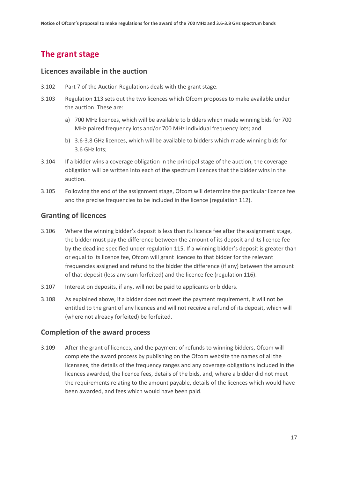## **The grant stage**

#### **Licences available in the auction**

- 3.102 Part 7 of the Auction Regulations deals with the grant stage.
- 3.103 Regulation 113 sets out the two licences which Ofcom proposes to make available under the auction. These are:
	- a) 700 MHz licences, which will be available to bidders which made winning bids for 700 MHz paired frequency lots and/or 700 MHz individual frequency lots; and
	- b) 3.6-3.8 GHz licences, which will be available to bidders which made winning bids for 3.6 GHz lots;
- 3.104 If a bidder wins a coverage obligation in the principal stage of the auction, the coverage obligation will be written into each of the spectrum licences that the bidder wins in the auction.
- 3.105 Following the end of the assignment stage, Ofcom will determine the particular licence fee and the precise frequencies to be included in the licence (regulation 112).

#### **Granting of licences**

- 3.106 Where the winning bidder's deposit is less than its licence fee after the assignment stage, the bidder must pay the difference between the amount of its deposit and its licence fee by the deadline specified under regulation 115. If a winning bidder's deposit is greater than or equal to its licence fee, Ofcom will grant licences to that bidder for the relevant frequencies assigned and refund to the bidder the difference (if any) between the amount of that deposit (less any sum forfeited) and the licence fee (regulation 116).
- 3.107 Interest on deposits, if any, will not be paid to applicants or bidders.
- 3.108 As explained above, if a bidder does not meet the payment requirement, it will not be entitled to the grant of any licences and will not receive a refund of its deposit, which will (where not already forfeited) be forfeited.

#### **Completion of the award process**

3.109 After the grant of licences, and the payment of refunds to winning bidders, Ofcom will complete the award process by publishing on the Ofcom website the names of all the licensees, the details of the frequency ranges and any coverage obligations included in the licences awarded, the licence fees, details of the bids, and, where a bidder did not meet the requirements relating to the amount payable, details of the licences which would have been awarded, and fees which would have been paid.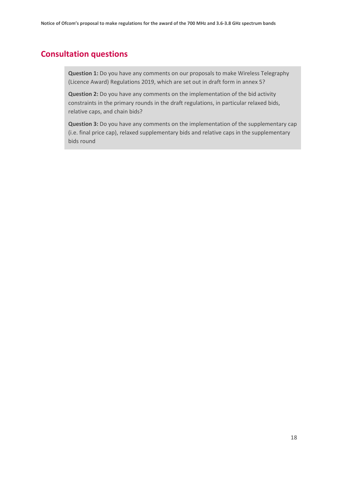## **Consultation questions**

**Question 1:** Do you have any comments on our proposals to make Wireless Telegraphy (Licence Award) Regulations 2019, which are set out in draft form in annex 5?

**Question 2:** Do you have any comments on the implementation of the bid activity constraints in the primary rounds in the draft regulations, in particular relaxed bids, relative caps, and chain bids?

**Question 3:** Do you have any comments on the implementation of the supplementary cap (i.e. final price cap), relaxed supplementary bids and relative caps in the supplementary bids round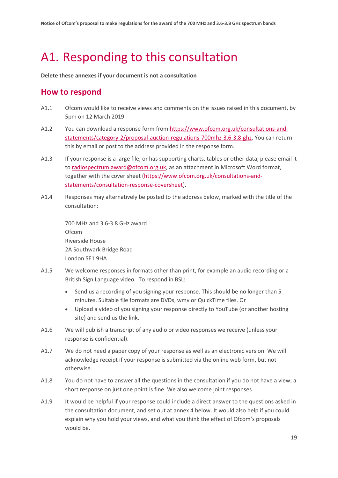# <span id="page-20-0"></span>A1. Responding to this consultation

**Delete these annexes if your document is not a consultation**

### **How to respond**

- A1.1 Ofcom would like to receive views and comments on the issues raised in this document, by 5pm on 12 March 2019
- A1.2 You can download a response form from [https://www.ofcom.org.uk/consultations-and](https://www.ofcom.org.uk/consultations-and-statements/category-2/proposal-auction-regulations-700mhz-3.6-3.8-ghz)[statements/category-2/proposal-auction-regulations-700mhz-3.6-3.8-ghz.](https://www.ofcom.org.uk/consultations-and-statements/category-2/proposal-auction-regulations-700mhz-3.6-3.8-ghz) You can return this by email or post to the address provided in the response form.
- A1.3 If your response is a large file, or has supporting charts, tables or other data, please email it t[o radiospectrum.award@ofcom.org.uk,](mailto:radiospectrum.award@ofcom.org.uk) as an attachment in Microsoft Word format, together with the cover sheet [\(https://www.ofcom.org.uk/consultations-and](https://www.ofcom.org.uk/consultations-and-statements/consultation-response-coversheet)[statements/consultation-response-coversheet\)](https://www.ofcom.org.uk/consultations-and-statements/consultation-response-coversheet).
- A1.4 Responses may alternatively be posted to the address below, marked with the title of the consultation:

700 MHz and 3.6-3.8 GHz award Ofcom Riverside House 2A Southwark Bridge Road London SE1 9HA

- A1.5 We welcome responses in formats other than print, for example an audio recording or a British Sign Language video. To respond in BSL:
	- Send us a recording of you signing your response. This should be no longer than 5 minutes. Suitable file formats are DVDs, wmv or QuickTime files. Or
	- Upload a video of you signing your response directly to YouTube (or another hosting site) and send us the link.
- A1.6 We will publish a transcript of any audio or video responses we receive (unless your response is confidential).
- A1.7 We do not need a paper copy of your response as well as an electronic version. We will acknowledge receipt if your response is submitted via the online web form, but not otherwise.
- A1.8 You do not have to answer all the questions in the consultation if you do not have a view; a short response on just one point is fine. We also welcome joint responses.
- A1.9 It would be helpful if your response could include a direct answer to the questions asked in the consultation document, and set out at annex 4 below. It would also help if you could explain why you hold your views, and what you think the effect of Ofcom's proposals would be.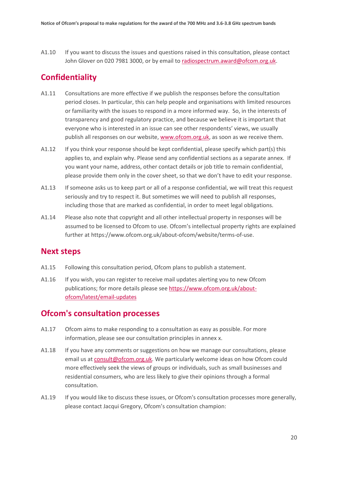A1.10 If you want to discuss the issues and questions raised in this consultation, please contact John Glover on 020 7981 3000, or by email to [radiospectrum.award@ofcom.org.uk.](mailto:radiospectrum.award@ofcom.org.uk)

## **Confidentiality**

- A1.11 Consultations are more effective if we publish the responses before the consultation period closes. In particular, this can help people and organisations with limited resources or familiarity with the issues to respond in a more informed way. So, in the interests of transparency and good regulatory practice, and because we believe it is important that everyone who is interested in an issue can see other respondents' views, we usually publish all responses on our website, [www.ofcom.org.uk,](http://www.ofcom.org.uk/) as soon as we receive them.
- A1.12 If you think your response should be kept confidential, please specify which part(s) this applies to, and explain why. Please send any confidential sections as a separate annex. If you want your name, address, other contact details or job title to remain confidential, please provide them only in the cover sheet, so that we don't have to edit your response.
- A1.13 If someone asks us to keep part or all of a response confidential, we will treat this request seriously and try to respect it. But sometimes we will need to publish all responses, including those that are marked as confidential, in order to meet legal obligations.
- A1.14 Please also note that copyright and all other intellectual property in responses will be assumed to be licensed to Ofcom to use. Ofcom's intellectual property rights are explained further at https://www.ofcom.org.uk/about-ofcom/website/terms-of-use.

### **Next steps**

- A1.15 Following this consultation period, Ofcom plans to publish a statement.
- A1.16 If you wish, you can register to receive mail updates alerting you to new Ofcom publications; for more details please se[e https://www.ofcom.org.uk/about](https://www.ofcom.org.uk/about-ofcom/latest/email-updates)[ofcom/latest/email-updates](https://www.ofcom.org.uk/about-ofcom/latest/email-updates)

### **Ofcom's consultation processes**

- A1.17 Ofcom aims to make responding to a consultation as easy as possible. For more information, please see our consultation principles in annex x.
- A1.18 If you have any comments or suggestions on how we manage our consultations, please email us a[t consult@ofcom.org.uk.](mailto:consult@ofcom.org.uk) We particularly welcome ideas on how Ofcom could more effectively seek the views of groups or individuals, such as small businesses and residential consumers, who are less likely to give their opinions through a formal consultation.
- A1.19 If you would like to discuss these issues, or Ofcom's consultation processes more generally, please contact Jacqui Gregory, Ofcom's consultation champion: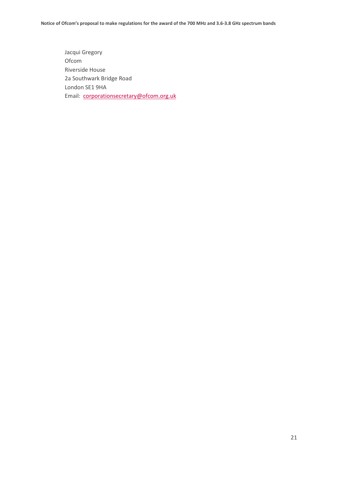Jacqui Gregory Ofcom Riverside House 2a Southwark Bridge Road London SE1 9HA Email: [corporationsecretary@ofcom.org.uk](mailto:corporationsecretary@ofcom.org.uk)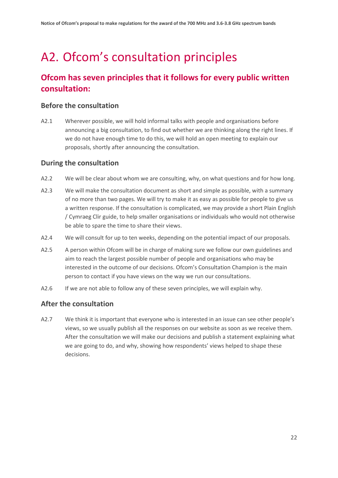# <span id="page-23-0"></span>A2. Ofcom's consultation principles

## **Ofcom has seven principles that it follows for every public written consultation:**

#### **Before the consultation**

A2.1 Wherever possible, we will hold informal talks with people and organisations before announcing a big consultation, to find out whether we are thinking along the right lines. If we do not have enough time to do this, we will hold an open meeting to explain our proposals, shortly after announcing the consultation.

### **During the consultation**

- A2.2 We will be clear about whom we are consulting, why, on what questions and for how long.
- A2.3 We will make the consultation document as short and simple as possible, with a summary of no more than two pages. We will try to make it as easy as possible for people to give us a written response. If the consultation is complicated, we may provide a short Plain English / Cymraeg Clir guide, to help smaller organisations or individuals who would not otherwise be able to spare the time to share their views.
- A2.4 We will consult for up to ten weeks, depending on the potential impact of our proposals.
- A2.5 A person within Ofcom will be in charge of making sure we follow our own guidelines and aim to reach the largest possible number of people and organisations who may be interested in the outcome of our decisions. Ofcom's Consultation Champion is the main person to contact if you have views on the way we run our consultations.
- A2.6 If we are not able to follow any of these seven principles, we will explain why.

### **After the consultation**

A2.7 We think it is important that everyone who is interested in an issue can see other people's views, so we usually publish all the responses on our website as soon as we receive them. After the consultation we will make our decisions and publish a statement explaining what we are going to do, and why, showing how respondents' views helped to shape these decisions.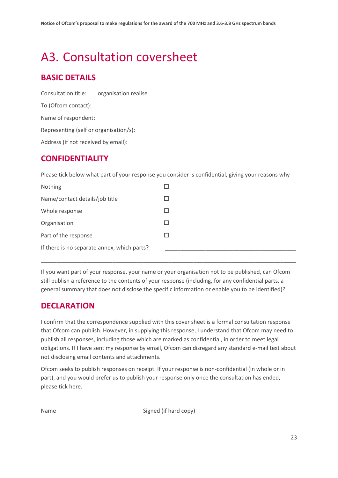## <span id="page-24-0"></span>A3. Consultation coversheet

## **BASIC DETAILS**

Consultation title: organisation realise To (Ofcom contact): Name of respondent: Representing (self or organisation/s): Address (if not received by email):

## **CONFIDENTIALITY**

Please tick below what part of your response you consider is confidential, giving your reasons why

| Nothing                                     |   |
|---------------------------------------------|---|
| Name/contact details/job title              |   |
| Whole response                              |   |
| Organisation                                | H |
| Part of the response                        |   |
| If there is no separate annex, which parts? |   |

If you want part of your response, your name or your organisation not to be published, can Ofcom still publish a reference to the contents of your response (including, for any confidential parts, a general summary that does not disclose the specific information or enable you to be identified)?

\_\_\_\_\_\_\_\_\_\_\_\_\_\_\_\_\_\_\_\_\_\_\_\_\_\_\_\_\_\_\_\_\_\_\_\_\_\_\_\_\_\_\_\_\_\_\_\_\_\_\_\_\_\_\_\_\_\_\_\_\_\_\_\_\_\_\_\_\_\_\_\_\_\_\_\_\_\_\_\_\_\_

## **DECLARATION**

I confirm that the correspondence supplied with this cover sheet is a formal consultation response that Ofcom can publish. However, in supplying this response, I understand that Ofcom may need to publish all responses, including those which are marked as confidential, in order to meet legal obligations. If I have sent my response by email, Ofcom can disregard any standard e-mail text about not disclosing email contents and attachments.

Ofcom seeks to publish responses on receipt. If your response is non-confidential (in whole or in part), and you would prefer us to publish your response only once the consultation has ended, please tick here.

Name Signed (if hard copy)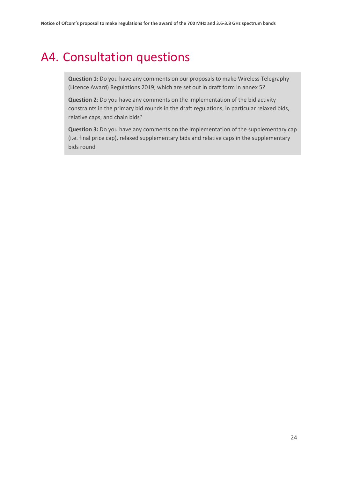## <span id="page-25-0"></span>A4. Consultation questions

**Question 1:** Do you have any comments on our proposals to make Wireless Telegraphy (Licence Award) Regulations 2019, which are set out in draft form in annex 5?

**Question 2**: Do you have any comments on the implementation of the bid activity constraints in the primary bid rounds in the draft regulations, in particular relaxed bids, relative caps, and chain bids?

**Question 3:** Do you have any comments on the implementation of the supplementary cap (i.e. final price cap), relaxed supplementary bids and relative caps in the supplementary bids round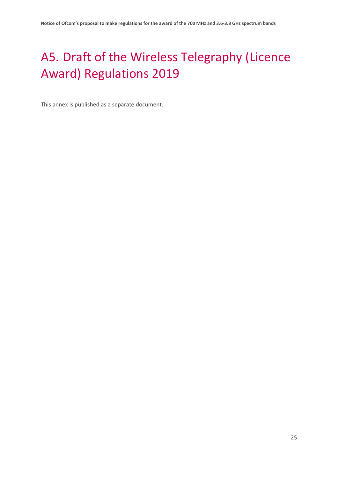# <span id="page-26-0"></span>A5. Draft of the Wireless Telegraphy (Licence Award) Regulations 2019

This annex is published as a separate document.